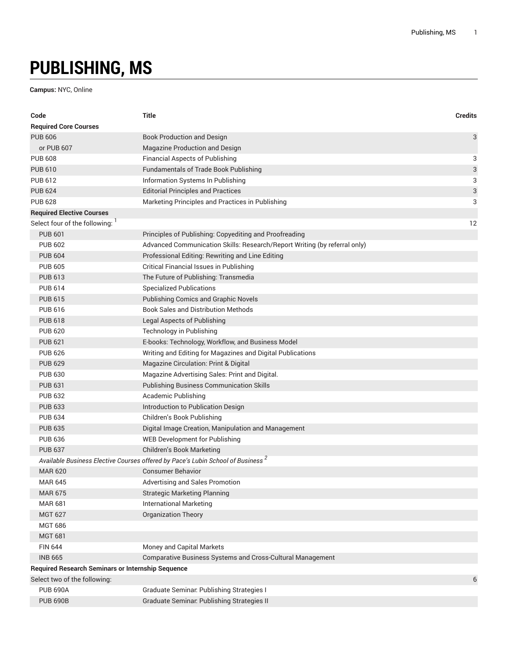## **PUBLISHING, MS**

**Campus:** NYC, Online

| Code                                                     | <b>Title</b>                                                                                | <b>Credits</b> |
|----------------------------------------------------------|---------------------------------------------------------------------------------------------|----------------|
| <b>Required Core Courses</b>                             |                                                                                             |                |
| <b>PUB 606</b>                                           | <b>Book Production and Design</b>                                                           | 3              |
| or PUB 607                                               | Magazine Production and Design                                                              |                |
| <b>PUB 608</b>                                           | <b>Financial Aspects of Publishing</b>                                                      | 3              |
| <b>PUB 610</b>                                           | <b>Fundamentals of Trade Book Publishing</b>                                                | 3              |
| <b>PUB 612</b>                                           | Information Systems In Publishing                                                           | 3              |
| <b>PUB 624</b>                                           | <b>Editorial Principles and Practices</b>                                                   | 3              |
| <b>PUB 628</b>                                           | Marketing Principles and Practices in Publishing                                            | 3              |
| <b>Required Elective Courses</b>                         |                                                                                             |                |
| Select four of the following:                            |                                                                                             | 12             |
| <b>PUB 601</b>                                           | Principles of Publishing: Copyediting and Proofreading                                      |                |
| <b>PUB 602</b>                                           | Advanced Communication Skills: Research/Report Writing (by referral only)                   |                |
| <b>PUB 604</b>                                           | Professional Editing: Rewriting and Line Editing                                            |                |
| <b>PUB 605</b>                                           | <b>Critical Financial Issues in Publishing</b>                                              |                |
| <b>PUB 613</b>                                           | The Future of Publishing: Transmedia                                                        |                |
| <b>PUB 614</b>                                           | <b>Specialized Publications</b>                                                             |                |
| <b>PUB 615</b>                                           | <b>Publishing Comics and Graphic Novels</b>                                                 |                |
| <b>PUB 616</b>                                           | <b>Book Sales and Distribution Methods</b>                                                  |                |
| <b>PUB 618</b>                                           | Legal Aspects of Publishing                                                                 |                |
| <b>PUB 620</b>                                           | Technology in Publishing                                                                    |                |
| <b>PUB 621</b>                                           | E-books: Technology, Workflow, and Business Model                                           |                |
| <b>PUB 626</b>                                           | Writing and Editing for Magazines and Digital Publications                                  |                |
| <b>PUB 629</b>                                           | Magazine Circulation: Print & Digital                                                       |                |
| <b>PUB 630</b>                                           | Magazine Advertising Sales: Print and Digital.                                              |                |
| <b>PUB 631</b>                                           | <b>Publishing Business Communication Skills</b>                                             |                |
| <b>PUB 632</b>                                           | Academic Publishing                                                                         |                |
| <b>PUB 633</b>                                           | Introduction to Publication Design                                                          |                |
| <b>PUB 634</b>                                           | Children's Book Publishing                                                                  |                |
| <b>PUB 635</b>                                           | Digital Image Creation, Manipulation and Management                                         |                |
| <b>PUB 636</b>                                           | WEB Development for Publishing                                                              |                |
| <b>PUB 637</b>                                           | <b>Children's Book Marketing</b>                                                            |                |
|                                                          | Available Business Elective Courses offered by Pace's Lubin School of Business <sup>2</sup> |                |
| <b>MAR 620</b>                                           | Consumer Behavior                                                                           |                |
| <b>MAR 645</b>                                           | Advertising and Sales Promotion                                                             |                |
| <b>MAR 675</b>                                           | <b>Strategic Marketing Planning</b>                                                         |                |
| <b>MAR 681</b>                                           | <b>International Marketing</b>                                                              |                |
| <b>MGT 627</b>                                           | <b>Organization Theory</b>                                                                  |                |
| <b>MGT 686</b>                                           |                                                                                             |                |
| <b>MGT 681</b>                                           |                                                                                             |                |
| <b>FIN 644</b>                                           | Money and Capital Markets                                                                   |                |
| <b>INB 665</b>                                           | Comparative Business Systems and Cross-Cultural Management                                  |                |
| <b>Required Research Seminars or Internship Sequence</b> |                                                                                             |                |
| Select two of the following:                             |                                                                                             | 6              |
| <b>PUB 690A</b>                                          | Graduate Seminar: Publishing Strategies I                                                   |                |
| <b>PUB 690B</b>                                          | Graduate Seminar. Publishing Strategies II                                                  |                |